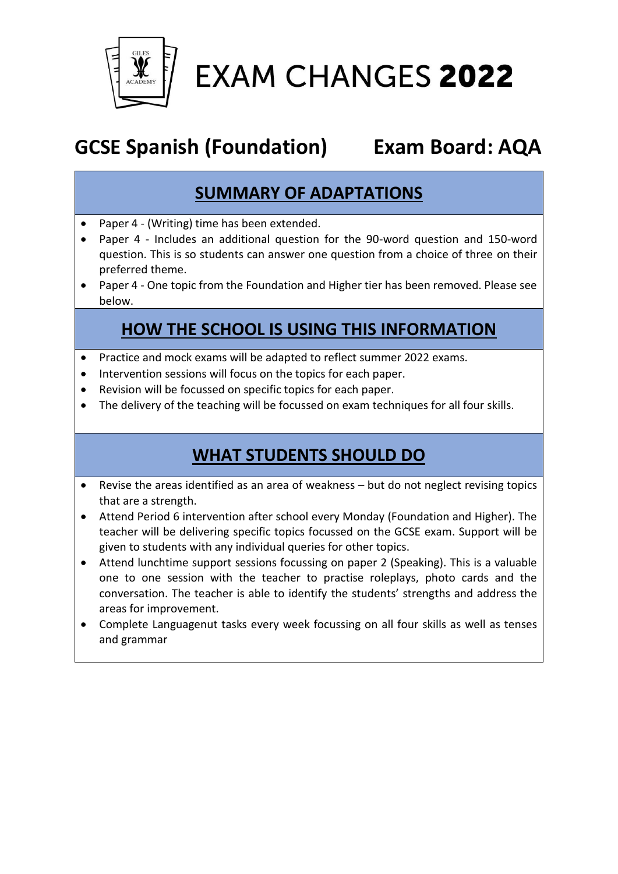

**EXAM CHANGES 2022** 

# **GCSE Spanish (Foundation) Exam Board: AQA**

## **SUMMARY OF ADAPTATIONS**

- Paper 4 (Writing) time has been extended.
- Paper 4 Includes an additional question for the 90-word question and 150-word question. This is so students can answer one question from a choice of three on their preferred theme.
- Paper 4 One topic from the Foundation and Higher tier has been removed. Please see below.

#### **HOW THE SCHOOL IS USING THIS INFORMATION**

- Practice and mock exams will be adapted to reflect summer 2022 exams.
- Intervention sessions will focus on the topics for each paper.
- Revision will be focussed on specific topics for each paper.
- The delivery of the teaching will be focussed on exam techniques for all four skills.

## **WHAT STUDENTS SHOULD DO**

- Revise the areas identified as an area of weakness but do not neglect revising topics that are a strength.
- Attend Period 6 intervention after school every Monday (Foundation and Higher). The teacher will be delivering specific topics focussed on the GCSE exam. Support will be given to students with any individual queries for other topics.
- Attend lunchtime support sessions focussing on paper 2 (Speaking). This is a valuable one to one session with the teacher to practise roleplays, photo cards and the conversation. The teacher is able to identify the students' strengths and address the areas for improvement.
- Complete Languagenut tasks every week focussing on all four skills as well as tenses and grammar